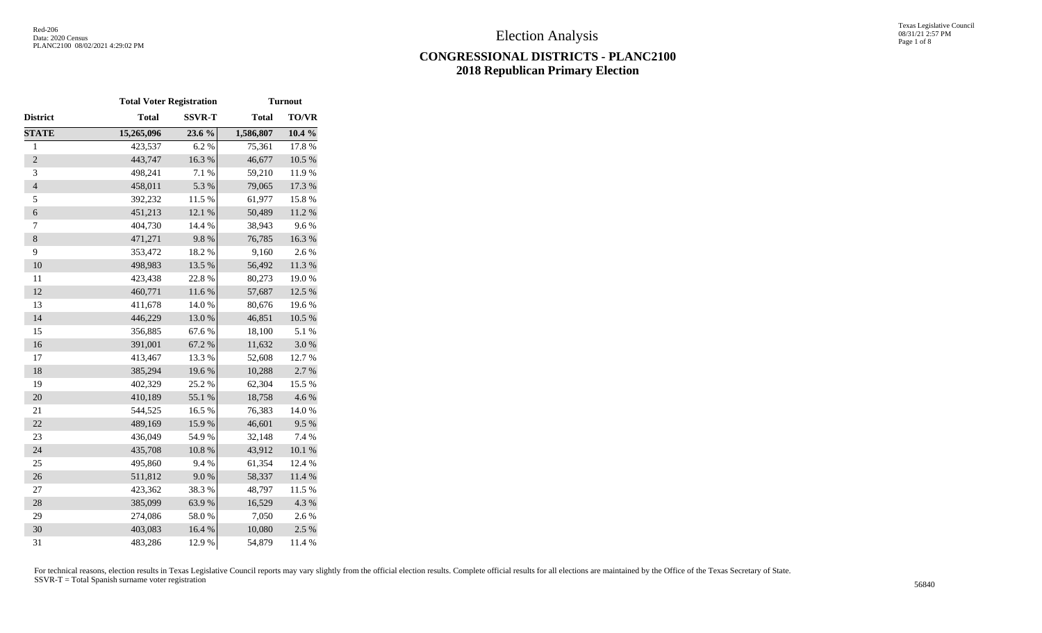# **CONGRESSIONAL DISTRICTS - PLANC2100 2018 Republican Primary Election**

|                | <b>Total Voter Registration</b> |               |              | <b>Turnout</b> |
|----------------|---------------------------------|---------------|--------------|----------------|
| District       | <b>Total</b>                    | <b>SSVR-T</b> | <b>Total</b> | TO/VR          |
| <b>STATE</b>   | 15,265,096                      | 23.6 %        | 1,586,807    | $10.4 \%$      |
| $\,1$          | 423,537                         | 6.2%          | 75,361       | 17.8 %         |
| $\sqrt{2}$     | 443,747                         | 16.3 %        | 46,677       | $10.5~\%$      |
| 3              | 498,241                         | 7.1 %         | 59,210       | 11.9%          |
| $\overline{4}$ | 458,011                         | 5.3 %         | 79,065       | 17.3 %         |
| 5              | 392,232                         | 11.5 %        | 61,977       | 15.8%          |
| 6              | 451,213                         | 12.1 %        | 50,489       | $11.2\ \%$     |
| 7              | 404,730                         | 14.4 %        | 38,943       | 9.6%           |
| $\,8$          | 471,271                         | 9.8%          | 76,785       | 16.3 %         |
| 9              | 353,472                         | 18.2 %        | 9,160        | 2.6%           |
| 10             | 498,983                         | 13.5 %        | 56,492       | 11.3 %         |
| 11             | 423,438                         | 22.8%         | 80,273       | 19.0%          |
| 12             | 460,771                         | 11.6 %        | 57,687       | 12.5 %         |
| 13             | 411,678                         | 14.0%         | 80,676       | 19.6%          |
| 14             | 446,229                         | 13.0 %        | 46,851       | $10.5~\%$      |
| 15             | 356,885                         | 67.6%         | 18,100       | 5.1 %          |
| 16             | 391,001                         | 67.2%         | 11,632       | $3.0\ \%$      |
| 17             | 413,467                         | 13.3 %        | 52,608       | 12.7 %         |
| 18             | 385,294                         | 19.6%         | 10,288       | 2.7%           |
| 19             | 402,329                         | 25.2 %        | 62,304       | 15.5 %         |
| 20             | 410,189                         | 55.1 %        | 18,758       | 4.6%           |
| 21             | 544,525                         | 16.5 %        | 76,383       | 14.0%          |
| 22             | 489,169                         | 15.9%         | 46,601       | 9.5%           |
| 23             | 436,049                         | 54.9%         | 32,148       | 7.4 %          |
| 24             | 435,708                         | $10.8~\%$     | 43,912       | $10.1~\%$      |
| 25             | 495,860                         | 9.4%          | 61,354       | 12.4 %         |
| 26             | 511,812                         | 9.0%          | 58,337       | 11.4 %         |
| 27             | 423,362                         | 38.3%         | 48,797       | 11.5 %         |
| 28             | 385,099                         | 63.9%         | 16,529       | 4.3 %          |
| 29             | 274,086                         | 58.0%         | 7,050        | 2.6 %          |
| 30             | 403,083                         | 16.4 %        | 10,080       | 2.5 %          |
| 31             | 483,286                         | 12.9%         | 54,879       | 11.4 %         |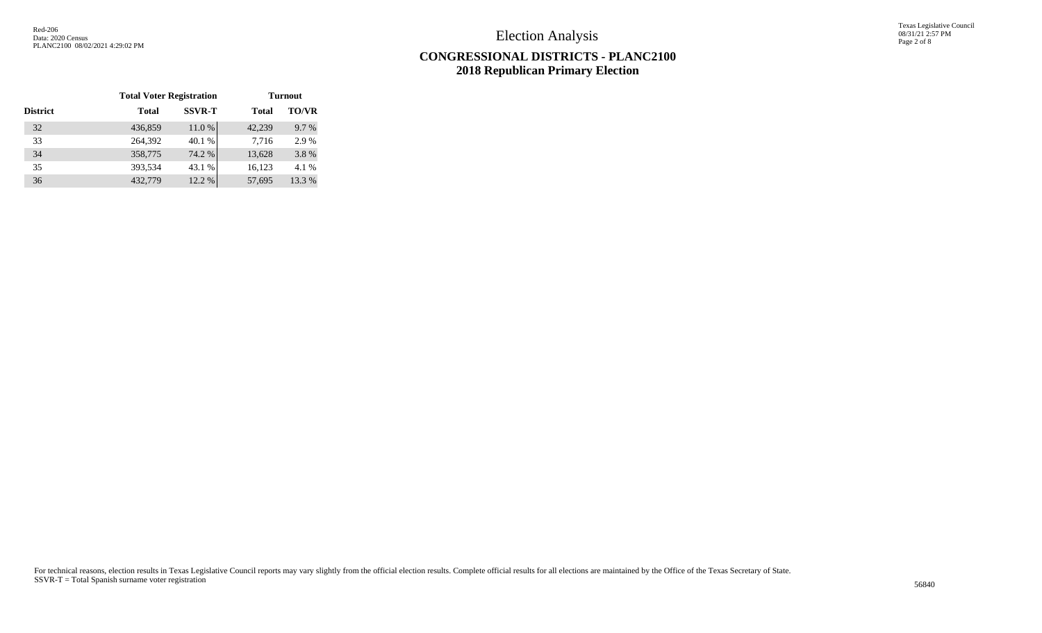Texas Legislative Council 08/31/21 2:57 PM Page 2 of 8

## **CONGRESSIONAL DISTRICTS - PLANC2100 2018 Republican Primary Election**

|                 | <b>Total Voter Registration</b> |               | <b>Turnout</b> |              |  |  |  |
|-----------------|---------------------------------|---------------|----------------|--------------|--|--|--|
| <b>District</b> | <b>Total</b>                    | <b>SSVR-T</b> | <b>Total</b>   | <b>TO/VR</b> |  |  |  |
| 32              | 436,859                         | 11.0%         | 42,239         | 9.7 %        |  |  |  |
| 33              | 264,392                         | 40.1 %        | 7,716          | 2.9 %        |  |  |  |
| 34              | 358,775                         | 74.2 %        | 13,628         | 3.8%         |  |  |  |
| 35              | 393,534                         | 43.1 %        | 16,123         | 4.1 %        |  |  |  |
| 36              | 432,779                         | 12.2 %        | 57,695         | 13.3 %       |  |  |  |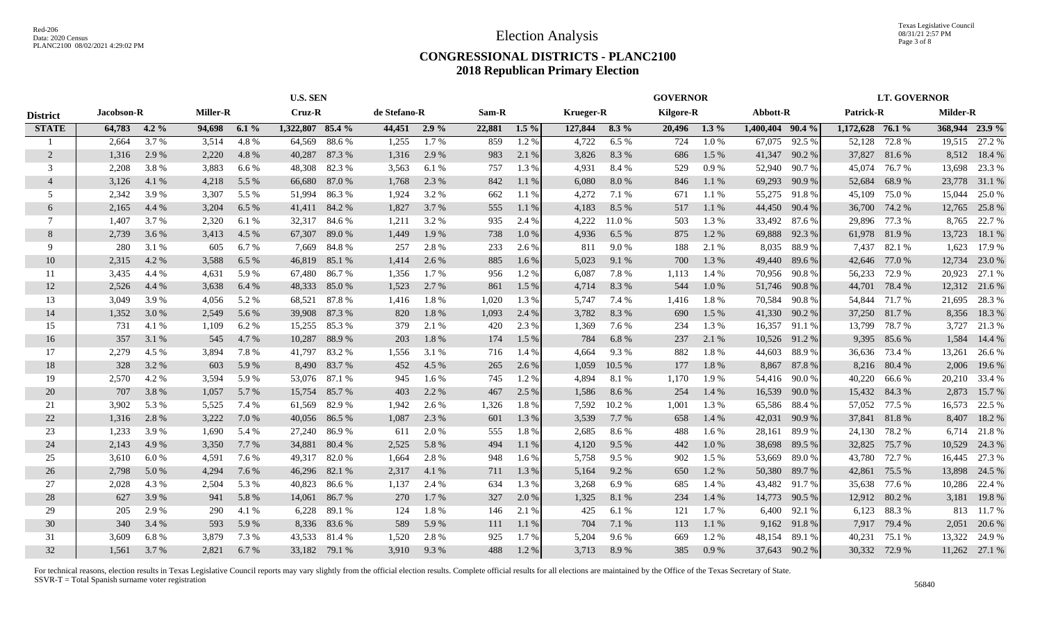### **CONGRESSIONAL DISTRICTS - PLANC2100 2018 Republican Primary Election**

|                 |            | <b>U.S. SEN</b> |                 |       |                  | <b>GOVERNOR</b> |              |         |        |         |                  | <b>LT. GOVERNOR</b> |                  |           |                  |        |                  |               |                |               |
|-----------------|------------|-----------------|-----------------|-------|------------------|-----------------|--------------|---------|--------|---------|------------------|---------------------|------------------|-----------|------------------|--------|------------------|---------------|----------------|---------------|
| <b>District</b> | Jacobson-R |                 | <b>Miller-R</b> |       | Cruz-R           |                 | de Stefano-R |         | Sam-R  |         | <b>Krueger-R</b> |                     | <b>Kilgore-R</b> |           | Abbott-R         |        | <b>Patrick-R</b> |               | Milder-R       |               |
| <b>STATE</b>    | 64,783     | $4.2\%$         | 94,698          | 6.1%  | 1,322,807 85.4 % |                 | 44,451       | $2.9\%$ | 22,881 | $1.5\%$ | 127,844          | $8.3\%$             | 20,496           | $1.3\%$   | 1,400,404 90.4 % |        | 1,172,628 76.1 % |               | 368,944 23.9 % |               |
|                 | 2,664      | 3.7%            | 3,514           | 4.8%  | 64,569           | 88.6%           | 1,255        | 1.7%    | 859    | 1.2%    | 4,722            | 6.5%                | 724              | 1.0%      | 67,075           | 92.5 % | 52,128           | 72.8%         |                | 19,515 27.2 % |
| $\overline{2}$  | 1,316      | 2.9 %           | 2,220           | 4.8%  | 40,287           | 87.3%           | 1,316        | 2.9 %   | 983    | 2.1 %   | 3,826            | 8.3%                | 686              | $1.5\%$   | 41,347           | 90.2 % | 37,827           | 81.6 %        |                | 8,512 18.4 %  |
| 3               | 2,208      | 3.8%            | 3,883           | 6.6 % | 48,308           | 82.3%           | 3,563        | 6.1 %   | 757    | 1.3%    | 4,931            | 8.4%                | 529              | $0.9\%$   | 52,940           | 90.7 % | 45,074           | 76.7 %        | 13,698         | 23.3 %        |
| $\overline{4}$  | 3,126      | 4.1 %           | 4,218           | 5.5 % | 66,680           | 87.0%           | 1,768        | 2.3 %   | 842    | 1.1%    | 6,080            | 8.0%                | 846              | 1.1%      | 69,293           | 90.9%  | 52,684           | 68.9%         | 23,778         | 31.1 %        |
| .5              | 2,342      | 3.9%            | 3,307           | 5.5 % | 51,994           | 86.3%           | 1,924        | 3.2 %   | 662    | 1.1%    | 4,272            | 7.1 %               | 671              | 1.1%      | 55,275           | 91.8%  | 45,109           | 75.0%         | 15,044         | 25.0 %        |
| 6               | 2,165      | 4.4 %           | 3,204           | 6.5 % | 41,411           | 84.2%           | 1,827        | 3.7 %   | 555    | 1.1%    | 4,183            | 8.5 %               | 517              | 1.1%      | 44,450           | 90.4 % | 36,700           | 74.2 %        | 12,765         | 25.8 %        |
| 7               | 1,407      | 3.7 %           | 2,320           | 6.1 % | 32,317           | 84.6 %          | 1,211        | 3.2 %   | 935    | 2.4 %   | 4,222            | 11.0%               | 503              | 1.3 %     | 33,492           | 87.6 % |                  | 29,896 77.3 % | 8,765          | 22.7 %        |
| 8               | 2,739      | 3.6 %           | 3,413           | 4.5 % | 67,307           | 89.0%           | 1,449        | 1.9 %   | 738    | 1.0%    | 4,936            | 6.5 %               | 875              | 1.2 %     | 69,888           | 92.3 % |                  | 61,978 81.9 % | 13,723         | 18.1 %        |
| -9              | 280        | 3.1 %           | 605             | 6.7 % | 7,669            | 84.8%           | 257          | 2.8%    | 233    | 2.6 %   | 811              | 9.0%                | 188              | 2.1 %     | 8,035            | 88.9%  | 7,437            | 82.1 %        | 1,623          | 17.9 %        |
| 10              | 2,315      | 4.2 %           | 3,588           | 6.5 % | 46,819           | 85.1 %          | 1,414        | 2.6 %   | 885    | $1.6\%$ | 5,023            | 9.1 %               | 700              | 1.3 %     | 49,440           | 89.6%  | 42,646           | 77.0 %        | 12,734         | 23.0 %        |
| 11              | 3,435      | 4.4 %           | 4,631           | 5.9 % | 67,480           | 86.7%           | 1,356        | 1.7 %   | 956    | $1.2\%$ | 6,087            | 7.8%                | 1,113            | 1.4 %     | 70,956           | 90.8%  | 56,233           | 72.9 %        | 20,923         | 27.1 %        |
| 12              | 2,526      | 4.4 %           | 3,638           | 6.4 % | 48,333           | 85.0%           | 1,523        | 2.7%    | 861    | $1.5\%$ | 4,714            | 8.3%                | 544              | 1.0%      | 51,746           | 90.8%  |                  | 44,701 78.4 % |                | 12,312 21.6 % |
| 13              | 3.049      | 3.9%            | 4,056           | 5.2 % | 68,521           | 87.8%           | 1,416        | 1.8%    | 1,020  | 1.3%    | 5,747            | 7.4 %               | 1,416            | 1.8%      | 70,584           | 90.8%  |                  | 54,844 71.7 % |                | 21,695 28.3 % |
| 14              | 1,352      | 3.0 %           | 2,549           | 5.6 % | 39,908           | 87.3%           | 820          | 1.8%    | 1,093  | 2.4 %   | 3,782            | 8.3%                | 690              | 1.5 %     | 41,330           | 90.2%  |                  | 37,250 81.7 % | 8,356          | 18.3 %        |
| 15              | 731        | 4.1 %           | 1,109           | 6.2 % | 15,255           | 85.3%           | 379          | 2.1 %   | 420    | 2.3 %   | 1,369            | 7.6%                | 234              | 1.3%      | 16,357           | 91.1 % | 13,799           | 78.7%         | 3,727          | 21.3%         |
| 16              | 357        | 3.1 %           | 545             | 4.7 % | 10,287           | 88.9 %          | 203          | 1.8%    | 174    | 1.5 %   | 784              | 6.8%                | 237              | 2.1 %     | 10,526           | 91.2%  | 9,395            | 85.6 %        | 1,584          | 14.4 %        |
| 17              | 2,279      | 4.5 %           | 3,894           | 7.8%  | 41,797           | 83.2 %          | 1,556        | 3.1 %   | 716    | 1.4 %   | 4,664            | 9.3%                | 882              | 1.8%      | 44,603           | 88.9%  | 36,636           | 73.4 %        | 13,261         | 26.6 %        |
| 18              | 328        | 3.2 %           | 603             | 5.9 % | 8,490            | 83.7%           | 452          | 4.5 %   | 265    | 2.6 %   | 1,059            | 10.5 %              | 177              | 1.8%      | 8,867            | 87.8%  | 8,216            | 80.4 %        | 2,006          | 19.6 %        |
| 19              | 2,570      | 4.2 %           | 3,594           | 5.9 % | 53,076           | 87.1 %          | 945          | 1.6 %   | 745    | 1.2 %   | 4,894            | 8.1%                | 1,170            | 1.9 %     | 54,416           | 90.0%  | 40,220           | 66.6 %        | 20,210         | 33.4 %        |
| 20              | 707        | 3.8 %           | 1,057           | 5.7 % | 15,754           | 85.7 %          | 403          | 2.2 %   | 467    | 2.5 %   | 1,586            | 8.6 %               | 254              | 1.4 %     | 16,539           | 90.0%  | 15,432           | 84.3 %        | 2,873          | 15.7 %        |
| 21              | 3,902      | 5.3 %           | 5,525           | 7.4 % | 61,569           | 82.9 %          | 1,942        | 2.6 %   | 1,326  | 1.8%    | 7,592            | 10.2%               | 1,001            | 1.3 %     | 65,586           | 88.4%  | 57,052           | 77.5 %        | 16,573         | 22.5 %        |
| 22              | 1,316      | 2.8 %           | 3,222           | 7.0 % | 40,056           | 86.5 %          | 1,087        | 2.3 %   | 601    | 1.3 %   | 3,539            | 7.7 %               | 658              | 1.4 %     | 42,031           | 90.9%  | 37,841           | 81.8%         | 8,407          | 18.2 %        |
| 23              | 1,233      | 3.9%            | 1,690           | 5.4 % | 27,240           | 86.9%           | 611          | 2.0%    | 555    | 1.8%    | 2,685            | 8.6%                | 488              | $1.6\%$   | 28,161           | 89.9%  | 24,130           | 78.2 %        | 6,714          | 21.8%         |
| 24              | 2,143      | 4.9%            | 3,350           | 7.7 % | 34,881           | 80.4 %          | 2,525        | 5.8 %   | 494    | 1.1%    | 4,120            | 9.5 %               | 442              | $1.0\ \%$ | 38,698           | 89.5 % | 32,825           | 75.7 %        | 10,529         | 24.3 %        |
| 25              | 3,610      | 6.0 %           | 4,591           | 7.6 % |                  | 49,317 82.0 %   | 1,664        | 2.8%    | 948    | 1.6 %   | 5,758            | 9.5 %               | 902              | $1.5\%$   | 53,669           | 89.0%  | 43,780           | 72.7 %        |                | 16,445 27.3 % |
| 26              | 2,798      | 5.0 %           | 4,294           | 7.6 % | 46,296           | 82.1 %          | 2,317        | 4.1 %   | 711    | 1.3 %   | 5,164            | 9.2%                | 650              | 1.2 %     | 50,380           | 89.7%  | 42,861           | 75.5 %        | 13,898         | 24.5 %        |
| 27              | 2,028      | 4.3 %           | 2,504           | 5.3 % | 40,823           | 86.6%           | 1,137        | 2.4 %   | 634    | 1.3 %   | 3,268            | 6.9%                | 685              | 1.4 %     | 43,482           | 91.7%  | 35,638           | 77.6 %        | 10,286         | 22.4 %        |
| 28              | 627        | 3.9 %           | 941             | 5.8%  | 14,061           | 86.7%           | 270          | 1.7 %   | 327    | 2.0 %   | 1,325            | 8.1%                | 234              | 1.4 %     | 14,773           | 90.5 % | 12,912           | 80.2 %        | 3,181          | 19.8 %        |
| 29              | 205        | 2.9 %           | 290             | 4.1 % | 6,228            | 89.1 %          | 124          | 1.8%    | 146    | 2.1 %   | 425              | 6.1%                | 121              | $1.7\%$   | 6,400            | 92.1 % | 6,123            | 88.3%         |                | 813 11.7 %    |
| 30              | 340        | 3.4 %           | 593             | 5.9 % | 8,336            | 83.6%           | 589          | 5.9%    | 111    | 1.1 %   | 704              | 7.1 %               | 113              | 1.1%      | 9,162            | 91.8%  |                  | 7,917 79.4 %  | 2,051          | 20.6 %        |
| 31              | 3.609      | 6.8%            | 3,879           | 7.3 % | 43,533           | 81.4 %          | 1,520        | 2.8%    | 925    | 1.7 %   | 5,204            | 9.6%                | 669              | 1.2%      | 48,154           | 89.1 % | 40,231           | 75.1 %        | 13,322         | 24.9 %        |
| 32              | 1,561      | 3.7 %           | 2,821           | 6.7 % |                  | 33,182 79.1 %   | 3,910        | 9.3 %   | 488    | 1.2%    | 3,713            | 8.9%                | 385              | 0.9%      | 37,643           | 90.2%  |                  | 30,332 72.9 % |                | 11,262 27.1 % |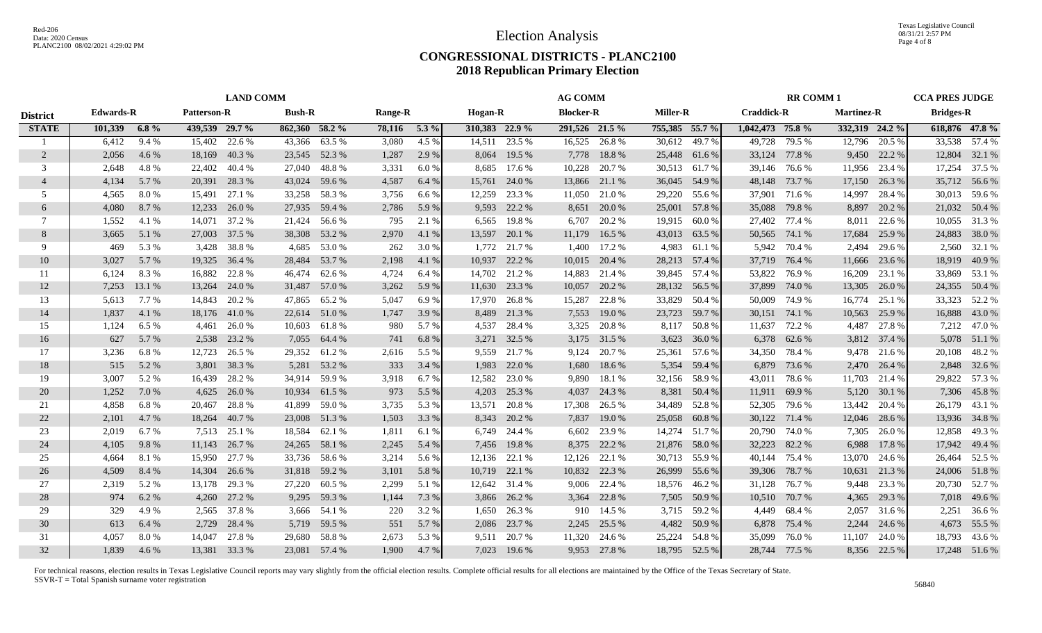#### **CONGRESSIONAL DISTRICTS - PLANC2100 2018 Republican Primary Election**

|                 |                  |         |                    | <b>LAND COMM</b> |                |               |                |         | <b>AG COMM</b><br><b>RR COMM1</b> |               |                  | <b>CCA PRES JUDGE</b> |                 |               |                   |               |                   |              |                  |                |
|-----------------|------------------|---------|--------------------|------------------|----------------|---------------|----------------|---------|-----------------------------------|---------------|------------------|-----------------------|-----------------|---------------|-------------------|---------------|-------------------|--------------|------------------|----------------|
| <b>District</b> | <b>Edwards-R</b> |         | <b>Patterson-R</b> |                  | <b>Bush-R</b>  |               | <b>Range-R</b> |         | <b>Hogan-R</b>                    |               | <b>Blocker-R</b> |                       | <b>Miller-R</b> |               | <b>Craddick-R</b> |               | <b>Martinez-R</b> |              | <b>Bridges-R</b> |                |
| <b>STATE</b>    | 101,339          | $6.8\%$ | 439,539 29.7 %     |                  | 862,360 58.2 % |               | 78,116         | $5.3\%$ | 310,383 22.9 %                    |               | 291,526 21.5 %   |                       | 755,385 55.7 %  |               | 1,042,473 75.8 %  |               | 332,319 24.2 %    |              |                  | 618,876 47.8 % |
|                 | 6,412            | 9.4%    | 15,402             | 22.6 %           |                | 43,366 63.5 % | 3,080          | 4.5 %   |                                   | 14,511 23.5 % | 16,525           | 26.8%                 |                 | 30,612 49.7 % | 49,728            | 79.5 %        | 12,796            | 20.5 %       |                  | 33,538 57.4 %  |
| 2               | 2,056            | 4.6 %   | 18,169             | 40.3 %           |                | 23,545 52.3 % | 1,287          | 2.9 %   | 8,064                             | 19.5 %        | 7,778            | 18.8%                 |                 | 25,448 61.6 % | 33,124            | 77.8%         | 9,450             | 22.2 %       |                  | 12,804 32.1 %  |
| 3               | 2,648            | 4.8%    | 22,402             | 40.4 %           |                | 27,040 48.8 % | 3,331          | 6.0%    | 8,685                             | 17.6 %        | 10,228           | 20.7 %                |                 | 30,513 61.7%  | 39,146            | 76.6 %        | 11,956            | 23.4 %       | 17,254           | 37.5 %         |
| $\overline{4}$  | 4,134            | 5.7 %   | 20,391             | 28.3 %           | 43,024         | 59.6 %        | 4,587          | 6.4 %   | 15,761                            | 24.0 %        | 13,866           | 21.1 %                |                 | 36,045 54.9 % | 48,148            | 73.7 %        | 17,150            | 26.3 %       |                  | 35,712 56.6 %  |
| .5              | 4,565            | 8.0%    | 15,491             | 27.1 %           | 33,258         | 58.3%         | 3,756          | 6.6%    | 12,259                            | 23.3 %        | 11,050           | 21.0 %                |                 | 29,220 55.6 % | 37,901            | 71.6 %        | 14,997            | 28.4 %       |                  | 30,013 59.6 %  |
| 6               | 4,080            | 8.7%    | 12,233             | 26.0 %           | 27,935         | 59.4 %        | 2,786          | 5.9%    | 9,593                             | 22.2 %        | 8,651            | 20.0 %                |                 | 25,001 57.8 % | 35,088            | 79.8%         | 8,897             | 20.2 %       |                  | 21,032 50.4 %  |
| $\tau$          | 1,552            | 4.1 %   | 14,071             | 37.2 %           | 21,424         | 56.6 %        | 795            | 2.1 %   | 6,565                             | 19.8%         | 6,707            | 20.2 %                | 19,915          | 60.0%         | 27,402            | 77.4 %        | 8,011             | 22.6 %       |                  | 10,055 31.3 %  |
| 8               | 3,665            | 5.1 %   | 27,003             | 37.5 %           | 38,308         | 53.2 %        | 2,970          | 4.1 %   | 13,597                            | 20.1 %        | 11,179           | 16.5 %                | 43,013          | 63.5 %        | 50,565            | 74.1 %        | 17,684            | 25.9%        |                  | 24,883 38.0 %  |
| 9               | 469              | 5.3%    | 3,428              | 38.8%            | 4,685          | 53.0%         | 262            | 3.0 %   | 1,772                             | 21.7 %        | 1,400            | 17.2 %                | 4,983           | 61.1 %        | 5,942             | 70.4 %        | 2,494             | 29.6 %       | 2,560            | 32.1 %         |
| 10              | 3,027            | 5.7 %   | 19,325             | 36.4 %           | 28,484         | 53.7 %        | 2,198          | 4.1 %   | 10,937                            | 22.2 %        | 10,015           | 20.4 %                | 28,213          | 57.4 %        | 37,719            | 76.4 %        | 11,666            | 23.6 %       |                  | 18,919 40.9 %  |
| 11              | 6,124            | 8.3%    | 16,882             | 22.8%            | 46,474         | 62.6 %        | 4,724          | 6.4 %   |                                   | 14,702 21.2 % | 14,883           | 21.4 %                |                 | 39,845 57.4 % | 53,822            | 76.9%         | 16,209            | 23.1 %       |                  | 33,869 53.1 %  |
| 12              | 7,253            | 13.1 %  | 13,264             | 24.0 %           |                | 31,487 57.0 % | 3,262          | 5.9%    |                                   | 11,630 23.3 % | 10,057           | 20.2 %                |                 | 28,132 56.5 % | 37,899            | 74.0%         | 13,305            | 26.0%        |                  | 24,355 50.4 %  |
| 13              | 5,613            | 7.7 %   | 14,843             | 20.2 %           | 47,865         | 65.2%         | 5,047          | 6.9%    | 17,970                            | 26.8%         | 15,287           | 22.8%                 | 33,829          | 50.4 %        | 50,009            | 74.9 %        | 16,774            | 25.1 %       |                  | 33,323 52.2 %  |
| 14              | 1,837            | 4.1 %   |                    | 18,176 41.0 %    |                | 22,614 51.0 % | 1,747          | 3.9 %   |                                   | 8,489 21.3 %  | 7,553            | 19.0 %                | 23,723          | 59.7 %        | 30,151 74.1 %     |               | 10,563            | 25.9%        |                  | 16,888 43.0 %  |
| 15              | 1,124            | 6.5 %   | 4,461              | 26.0%            | 10,603         | 61.8%         | 980            | 5.7 %   | 4,537                             | 28.4 %        |                  | 3,325 20.8 %          | 8,117           | 50.8 %        | 11,637            | 72.2 %        | 4,487             | 27.8 %       |                  | 7,212 47.0 %   |
| 16              | 627              | 5.7 %   | 2,538              | 23.2 %           | 7,055          | 64.4 %        | 741            | 6.8%    |                                   | 3,271 32.5 %  |                  | 3,175 31.5 %          | 3,623           | 36.0%         |                   | 6,378 62.6 %  | 3,812             | 37.4 %       |                  | 5,078 51.1 %   |
| 17              | 3,236            | 6.8%    | 12,723             | 26.5 %           | 29,352         | 61.2%         | 2,616          | 5.5 %   | 9,559                             | 21.7 %        | 9,124            | 20.7 %                | 25,361          | 57.6 %        | 34,350            | 78.4%         | 9,478             | 21.6 %       |                  | 20,108 48.2 %  |
| 18              | 515              | 5.2 %   | 3,801              | 38.3 %           | 5,281          | 53.2 %        | 333            | 3.4 %   | 1,983                             | 22.0 %        | 1,680            | 18.6 %                | 5,354           | 59.4 %        | 6,879             | 73.6 %        | 2,470             | 26.4 %       |                  | 2,848 32.6 %   |
| 19              | 3,007            | 5.2 %   | 16,439             | 28.2 %           | 34,914         | 59.9 %        | 3,918          | 6.7%    | 12,582                            | 23.0 %        | 9,890            | 18.1 %                | 32,156          | 58.9 %        | 43,011            | 78.6%         | 11,703            | 21.4 %       |                  | 29,822 57.3 %  |
| 20              | 1,252            | 7.0 %   | 4,625              | 26.0%            | 10,934         | 61.5 %        | 973            | 5.5 %   | 4,203                             | 25.3 %        | 4,037            | 24.3 %                | 8,381           | 50.4 %        | 11,911            | 69.9%         | 5,120             | 30.1 %       |                  | 7,306 45.8 %   |
| 21              | 4,858            | 6.8%    | 20,467             | 28.8%            | 41,899         | 59.0%         | 3,735          | 5.3 %   | 13,571                            | 20.8%         | 17,308           | 26.5 %                | 34,489          | 52.8%         | 52,305            | 79.6%         | 13,442            | 20.4 %       |                  | 26,179 43.1 %  |
| 22              | 2,101            | 4.7 %   | 18,264             | 40.7 %           | 23,008         | 51.3%         | 1,503          | 3.3 %   | 8,343                             | 20.2 %        | 7,837            | 19.0 %                | 25,058          | 60.8 %        | 30,122            | 71.4 %        | 12,046            | 28.6 %       |                  | 13,936 34.8 %  |
| 23              | 2,019            | 6.7 %   | 7,513              | 25.1 %           | 18,584         | 62.1 %        | 1,811          | 6.1 %   | 6,749                             | 24.4 %        | 6,602            | 23.9 %                | 14,274          | 51.7%         | 20,790            | 74.0%         | 7,305             | 26.0%        |                  | 12,858 49.3 %  |
| 24              | 4,105            | 9.8%    | 11,143             | 26.7 %           | 24,265         | 58.1 %        | 2,245          | 5.4 %   |                                   | 7,456 19.8 %  | 8,375            | 22.2 %                | 21,876          | 58.0 %        | 32,223            | 82.2 %        | 6,988             | 17.8 %       |                  | 17,942 49.4 %  |
| 25              | 4,664            | 8.1 %   | 15,950             | 27.7 %           |                | 33,736 58.6 % | 3,214          | 5.6 %   |                                   | 12,136 22.1 % | 12,126           | 22.1 %                |                 | 30,713 55.9 % | 40,144            | 75.4 %        | 13,070            | 24.6 %       |                  | 26,464 52.5 %  |
| 26              | 4,509            | 8.4 %   | 14,304             | 26.6 %           | 31,818         | 59.2 %        | 3,101          | 5.8%    |                                   | 10,719 22.1 % | 10,832           | 22.3 %                | 26,999          | 55.6 %        | 39,306            | 78.7%         | 10,631            | 21.3 %       |                  | 24,006 51.8 %  |
| 27              | 2,319            | 5.2%    | 13,178             | 29.3%            | 27,220         | 60.5%         | 2,299          | 5.1 %   |                                   | 12,642 31.4 % | 9,006            | 22.4 %                | 18,576          | 46.2%         | 31,128            | 76.7%         | 9,448             | 23.3 %       |                  | 20,730 52.7%   |
| 28              | 974              | 6.2 %   | 4,260              | 27.2 %           | 9,295          | 59.3 %        | 1,144          | 7.3 %   | 3,866                             | 26.2 %        | 3,364            | 22.8%                 | 7,505           | 50.9%         | 10,510            | 70.7 %        | 4,365             | 29.3 %       |                  | 7,018 49.6 %   |
| 29              | 329              | 4.9%    | 2,565              | 37.8 %           |                | 3,666 54.1 %  | 220            | 3.2 %   | 1,650                             | 26.3%         | 910              | 14.5 %                | 3,715           | 59.2 %        | 4,449             | 68.4%         | 2,057             | 31.6 %       |                  | 2,251 36.6 %   |
| 30              | 613              | 6.4 %   | 2,729              | 28.4 %           |                | 5,719 59.5 %  | 551            | 5.7 %   | 2,086                             | 23.7 %        | 2,245            | 25.5 %                | 4,482           | 50.9 %        | 6,878             | 75.4 %        | 2,244             | 24.6 %       |                  | 4,673 55.5 %   |
| 31              | 4,057            | 8.0%    | 14,047             | 27.8 %           |                | 29,680 58.8%  | 2,673          | 5.3 %   |                                   | 9,511 20.7 %  | 11,320           | 24.6 %                |                 | 25,224 54.8 % | 35,099            | 76.0%         | 11,107            | 24.0 %       |                  | 18,793 43.6 %  |
| 32              | 1.839            | 4.6 %   |                    | 13,381 33.3 %    |                | 23,081 57.4 % | 1,900          | 4.7%    |                                   | 7,023 19.6 %  |                  | 9,953 27.8 %          |                 | 18,795 52.5 % |                   | 28,744 77.5 % |                   | 8,356 22.5 % |                  | 17,248 51.6 %  |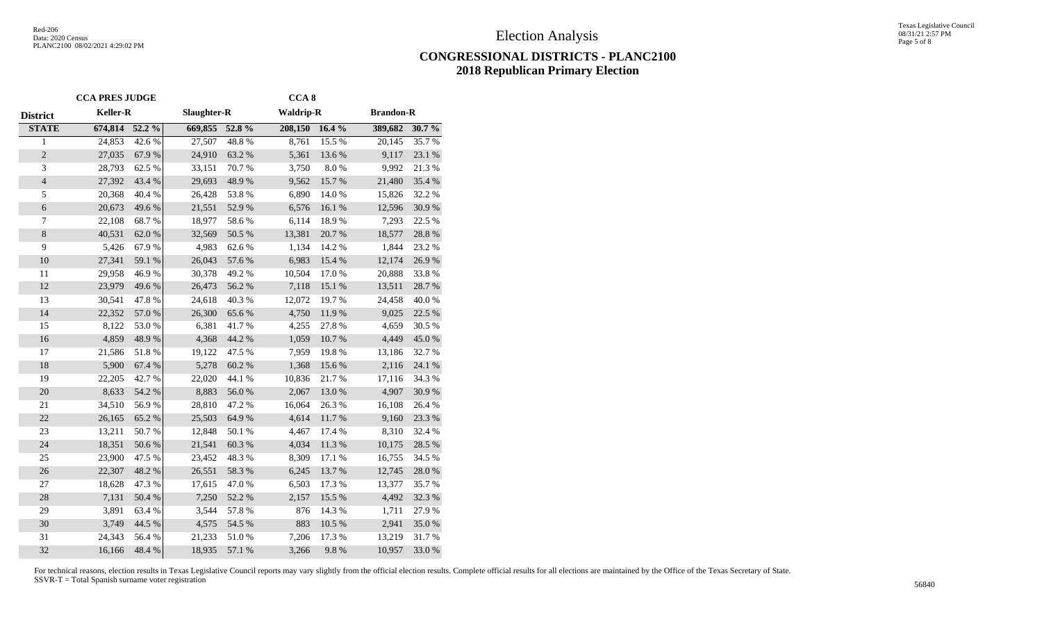### **CONGRESSIONAL DISTRICTS - PLANC2100 2018 Republican Primary Election**

|                 | <b>CCA PRES JUDGE</b> |            |             |            | CCA <sub>8</sub> |            |                  |            |
|-----------------|-----------------------|------------|-------------|------------|------------------|------------|------------------|------------|
| <b>District</b> | Keller-R              |            | Slaughter-R |            | <b>Waldrip-R</b> |            | <b>Brandon-R</b> |            |
| <b>STATE</b>    | 674,814               | 52.2 %     | 669,855     | 52.8 %     | 208,150          | 16.4%      | 389,682          | 30.7%      |
| $\mathbf{1}$    | 24,853                | 42.6 %     | 27,507      | 48.8%      | 8,761            | 15.5 %     | 20,145           | 35.7 %     |
| $\sqrt{2}$      | 27,035                | 67.9%      | 24,910      | 63.2%      | 5,361            | 13.6%      | 9,117            | 23.1 %     |
| 3               | 28,793                | 62.5 %     | 33,151      | 70.7%      | 3,750            | $8.0\ \%$  | 9,992            | 21.3%      |
| $\sqrt{4}$      | 27,392                | 43.4 %     | 29,693      | 48.9%      | 9,562            | 15.7%      | 21,480           | 35.4 %     |
| 5               | 20,368                | 40.4 %     | 26,428      | 53.8%      | 6,890            | 14.0%      | 15,826           | 32.2 %     |
| $\sqrt{6}$      | 20,673                | 49.6%      | 21,551      | 52.9%      | 6,576            | 16.1 %     | 12,596           | 30.9%      |
| $\overline{7}$  | 22,108                | 68.7%      | 18,977      | 58.6%      | 6,114            | 18.9%      | 7,293            | 22.5 %     |
| $8\,$           | 40,531                | 62.0%      | 32,569      | 50.5 %     | 13,381           | 20.7 %     | 18,577           | 28.8 %     |
| 9               | 5,426                 | 67.9%      | 4,983       | 62.6%      | 1,134            | 14.2 %     | 1,844            | 23.2 %     |
| 10              | 27,341                | 59.1 %     | 26,043      | 57.6 %     | 6,983            | 15.4 %     | 12,174           | $26.9\;\%$ |
| 11              | 29,958                | 46.9%      | 30,378      | 49.2%      | 10,504           | $17.0\ \%$ | 20,888           | 33.8%      |
| 12              | 23,979                | 49.6%      | 26,473      | 56.2 %     | 7,118            | 15.1 %     | 13,511           | 28.7 %     |
| 13              | 30,541                | 47.8%      | 24,618      | 40.3 %     | 12,072           | 19.7%      | 24,458           | 40.0%      |
| 14              | 22,352                | 57.0 %     | 26,300      | 65.6%      | 4,750            | 11.9%      | 9,025            | 22.5 %     |
| 15              | 8,122                 | 53.0%      | 6,381       | 41.7%      | 4,255            | 27.8%      | 4,659            | 30.5 %     |
| 16              | 4,859                 | 48.9%      | 4,368       | 44.2 %     | 1,059            | 10.7%      | 4,449            | 45.0%      |
| 17              | 21,586                | 51.8%      | 19,122      | 47.5 %     | 7,959            | 19.8%      | 13,186           | 32.7%      |
| 18              | 5,900                 | 67.4 %     | 5,278       | 60.2%      | 1,368            | 15.6 %     | 2,116            | 24.1 %     |
| 19              | 22,205                | 42.7%      | 22,020      | 44.1 %     | 10,836           | 21.7%      | 17,116           | 34.3 %     |
| 20              | 8,633                 | 54.2 %     | 8,883       | $56.0\;\%$ | 2,067            | 13.0%      | 4,907            | $30.9\;\%$ |
| 21              | 34,510                | 56.9%      | 28,810      | 47.2 %     | 16,064           | 26.3%      | 16,108           | 26.4 %     |
| 22              | 26,165                | 65.2 %     | 25,503      | 64.9%      | 4,614            | 11.7 %     | 9,160            | 23.3 %     |
| 23              | 13,211                | 50.7%      | 12,848      | $50.1~\%$  | 4,467            | $17.4~\%$  | 8,310            | 32.4 %     |
| 24              | 18,351                | $50.6\;\%$ | 21,541      | 60.3 %     | 4,034            | 11.3 %     | 10,175           | 28.5 %     |
| 25              | 23,900                | 47.5 %     | 23,452      | 48.3%      | 8,309            | 17.1 %     | 16,755           | 34.5 %     |
| 26              | 22,307                | 48.2 %     | 26,551      | 58.3 %     | 6,245            | 13.7%      | 12,745           | $28.0\;\%$ |
| 27              | 18,628                | 47.3%      | 17,615      | 47.0%      | 6,503            | 17.3 %     | 13,377           | 35.7%      |
| 28              | 7,131                 | 50.4 %     | 7,250       | 52.2 %     | 2,157            | 15.5 %     | 4,492            | 32.3 %     |
| 29              | 3,891                 | 63.4 %     | 3,544       | 57.8 %     | 876              | 14.3 %     | 1,711            | 27.9%      |
| 30              | 3,749                 | 44.5 %     | 4,575       | 54.5 %     | 883              | 10.5 %     | 2,941            | 35.0%      |
| 31              | 24,343                | 56.4 %     | 21,233      | 51.0%      | 7,206            | 17.3 %     | 13,219           | 31.7 %     |
| 32              | 16,166                | 48.4%      | 18,935      | 57.1 %     | 3,266            | 9.8%       | 10,957           | 33.0%      |
|                 |                       |            |             |            |                  |            |                  |            |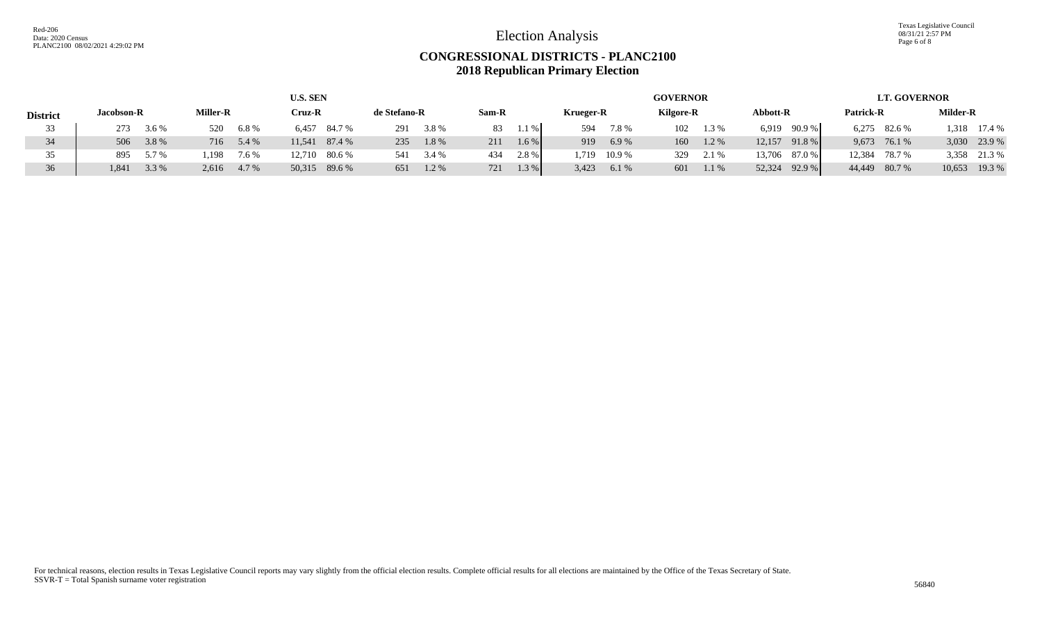Texas Legislative Council 08/31/21 2:57 PM Page 6 of 8

## **CONGRESSIONAL DISTRICTS - PLANC2100 2018 Republican Primary Election**

|                 |                |                 | <b>U.S. SEN</b>  |              |                |                  | <b>GOVERNOR</b>  |                      | <b>LT. GOVERNOR</b> |                  |  |  |
|-----------------|----------------|-----------------|------------------|--------------|----------------|------------------|------------------|----------------------|---------------------|------------------|--|--|
| <b>District</b> | Jacobson-R     | <b>Miller-R</b> | Cruz-R           | de Stefano-R | Sam-R          | <b>Krueger-R</b> | <b>Kilgore-R</b> | Abbott-R             | Patrick-R           | Milder-R         |  |  |
| 33              | 3.6 %<br>273   | 6.8%<br>520     | 6,457<br>84.7 %  | 3.8%<br>291  | $1.1\%$<br>83  | 7.8%<br>594      | 102<br>1.3 %     | 90.9 %<br>6,919      | 6,275 82.6 %        | 1,318 17.4 %     |  |  |
| 34              | 506 3.8 %      | 5.4 %<br>716    | 87.4 %<br>11,541 | 1.8%<br>235  | 1.6 %<br>211   | 6.9%<br>919      | 160<br>1.2 %     | 91.8 %<br>12,157     | 9,673 76.1 %        | 3,030 23.9 %     |  |  |
| 35              | 5.7 %<br>895   | 1.198<br>7.6 %  | 12,710 80.6 %    | 3.4 %<br>541 | $2.8\%$<br>434 | 10.9 %<br>.719   | 329<br>2.1 %     | $87.0\%$ 1<br>13,706 | 12,384<br>78.7 %    | 3,358 21.3 %     |  |  |
| 36              | 3.3 %<br>1,841 | 4.7 %<br>2,616  | 50,315 89.6 %    | 651<br>1.2%  | 1.3 %<br>721   | 3,423<br>6.1 %   | 601<br>1.1%      | 92.9 %<br>52,324     | 44,449 80.7 %       | 10,653<br>19.3 % |  |  |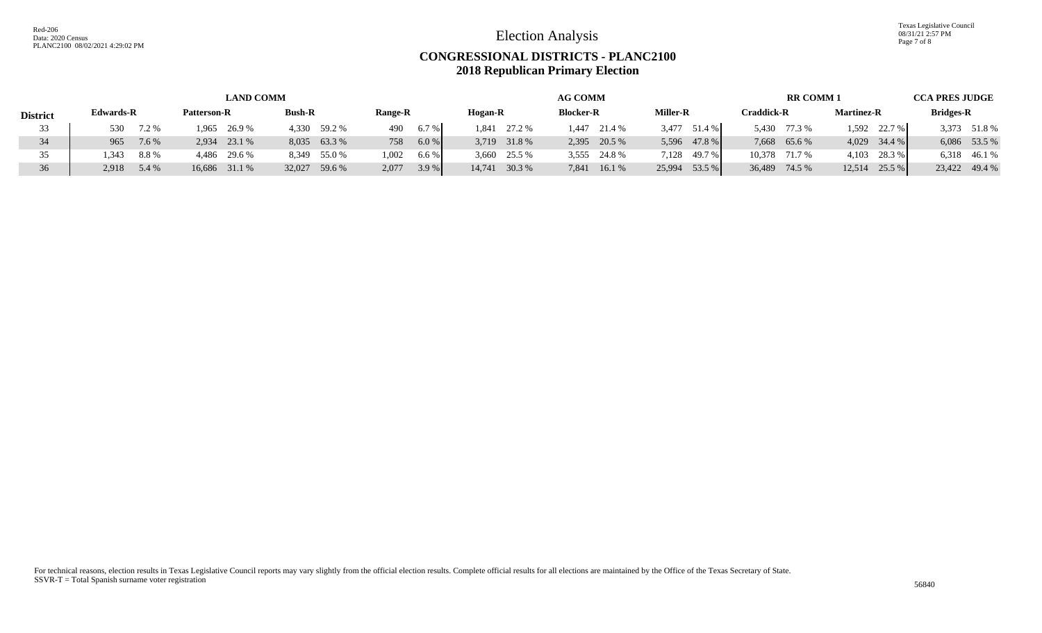Texas Legislative Council 08/31/21 2:57 PM Page 7 of 8

## **CONGRESSIONAL DISTRICTS - PLANC2100 2018 Republican Primary Election**

|                 | <b>LAND COMM</b> |       |             |               |               |              |                |      |                |              | <b>AG COMM</b>   |              |                 |               |                   |               | <b>RR COMM1</b>   |                |                  |               |
|-----------------|------------------|-------|-------------|---------------|---------------|--------------|----------------|------|----------------|--------------|------------------|--------------|-----------------|---------------|-------------------|---------------|-------------------|----------------|------------------|---------------|
| <b>District</b> | <b>Edwards-R</b> |       | Patterson-R |               | <b>Bush-R</b> |              | <b>Range-R</b> |      | <b>Hogan-R</b> |              | <b>Blocker-R</b> |              | <b>Miller-R</b> |               | <b>Craddick-R</b> |               | <b>Martinez-R</b> |                | <b>Bridges-R</b> |               |
| 33              | 530              | 7.2 % | 1.965       | 26.9 %        | 4.330         | 59.2 %       | 490            | 6.7% | 1.841          | 27.2 %       | l <b>.447</b>    | 21.4 %       | 3.477           | 51.4 %        |                   | 5,430 77.3 %  | 1.592             | $22.7\%$       |                  | 3,373 51.8 %  |
| 34              | 965              | 7.6 % | 2.934       | 23.1 %        |               | 8,035 63.3 % | 758            | 6.0% |                | 3,719 31.8 % |                  | 2,395 20.5 % |                 | 5,596 47.8 %  |                   | 7,668 65.6 %  |                   | $4,029$ 34.4 % |                  | 6,086 53.5 %  |
|                 | 1.343            | 8.8 % |             | 4,486 29.6 %  |               | 8,349 55.0 % | 1.002          | 6.6% | 3,660          | 25.5 %       |                  | 3,555 24.8 % |                 | 7,128 49.7 %  |                   | 10.378 71.7 % | 4,103             | 28.3 %         |                  | 6,318 46.1 %  |
| 36              | 2,918 5.4 %      |       |             | 16,686 31.1 % | 32,027        | 59.6 %       | 2.077          | 3.9% | 14.741         | 30.3 %       | 7.841            | 16.1 %       |                 | 25,994 53.5 % |                   | 36,489 74.5 % | 12,514            | 25.5 %         |                  | 23,422 49.4 % |